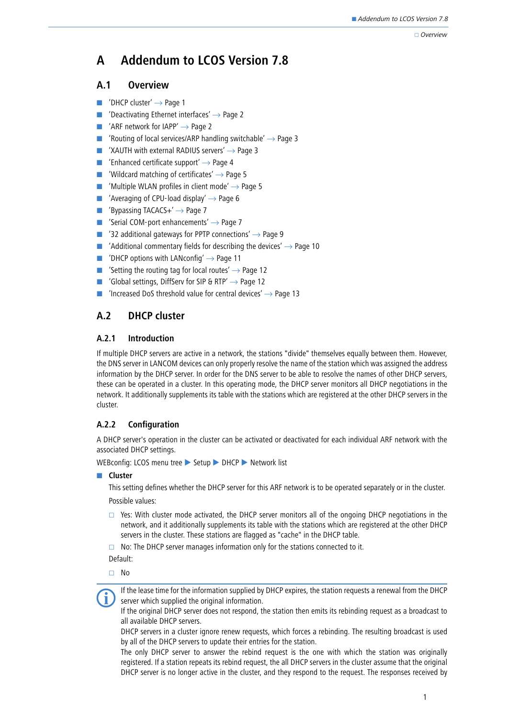#### Overview

# **A Addendum to LCOS Version 7.8**

# **A.1 Overview**

- **DHCP cluster'**  $\rightarrow$  Page 1
- -['Deactivating Ethernet interfaces'](#page-1-0)  $\rightarrow$  Page 2
- -'ARF network for  $IAPP' \rightarrow Page 2$
- -['Routing of local services/ARP handling switchable'](#page-2-0)  $\rightarrow$  Page 3
- -['XAUTH with external RADIUS servers'](#page-2-1)  $\rightarrow$  Page 3
- -['Enhanced certificate support'](#page-3-0)  $\rightarrow$  Page 4
- -['Wildcard matching of certificates'](#page-4-0)  $\rightarrow$  Page 5
- -['Multiple WLAN profiles in client mode'](#page-4-1)  $\rightarrow$  Page 5
- -['Averaging of CPU-load display'](#page-5-0)  $\rightarrow$  Page 6
- -'Bypassing TACACS $+' \rightarrow$  Page 7
- -['Serial COM-port enhancements'](#page-6-1)  $\rightarrow$  Page 7
- -['32 additional gateways for PPTP connections'](#page-8-0)  $\rightarrow$  Page 9
- -['Additional commentary fields for describing the devices'](#page-9-0)  $\rightarrow$  Page 10
- -['DHCP options with LANconfig'](#page-10-0)  $\rightarrow$  Page 11
- -['Setting the routing tag for local routes'](#page-11-0)  $\rightarrow$  Page 12
- ['Global settings, DiffServ for SIP & RTP'](#page-11-1)  $\rightarrow$  Page 12
- -['Increased DoS threshold value for central devices'](#page-12-0)  $\rightarrow$  Page 13

# <span id="page-0-0"></span>**A.2 DHCP cluster**

# **A.2.1 Introduction**

If multiple DHCP servers are active in a network, the stations "divide" themselves equally between them. However, the DNS server in LANCOM devices can only properly resolve the name of the station which was assigned the address information by the DHCP server. In order for the DNS server to be able to resolve the names of other DHCP servers, these can be operated in a cluster. In this operating mode, the DHCP server monitors all DHCP negotiations in the network. It additionally supplements its table with the stations which are registered at the other DHCP servers in the cluster.

# **A.2.2 Configuration**

A DHCP server's operation in the cluster can be activated or deactivated for each individual ARF network with the associated DHCP settings.

WEBconfig: LCOS menu tree Setup > DHCP > Network list

# **L** Cluster

This setting defines whether the DHCP server for this ARF network is to be operated separately or in the cluster.

Possible values:

- $\Box$  Yes: With cluster mode activated, the DHCP server monitors all of the ongoing DHCP negotiations in the network, and it additionally supplements its table with the stations which are registered at the other DHCP servers in the cluster. These stations are flagged as "cache" in the DHCP table.
- $\Box$  No: The DHCP server manages information only for the stations connected to it.

Default:

□ No

 If the lease time for the information supplied by DHCP expires, the station requests a renewal from the DHCP server which supplied the original information.

If the original DHCP server does not respond, the station then emits its rebinding request as a broadcast to all available DHCP servers.

DHCP servers in a cluster ignore renew requests, which forces a rebinding. The resulting broadcast is used by all of the DHCP servers to update their entries for the station.

The only DHCP server to answer the rebind request is the one with which the station was originally registered. If a station repeats its rebind request, the all DHCP servers in the cluster assume that the original DHCP server is no longer active in the cluster, and they respond to the request. The responses received by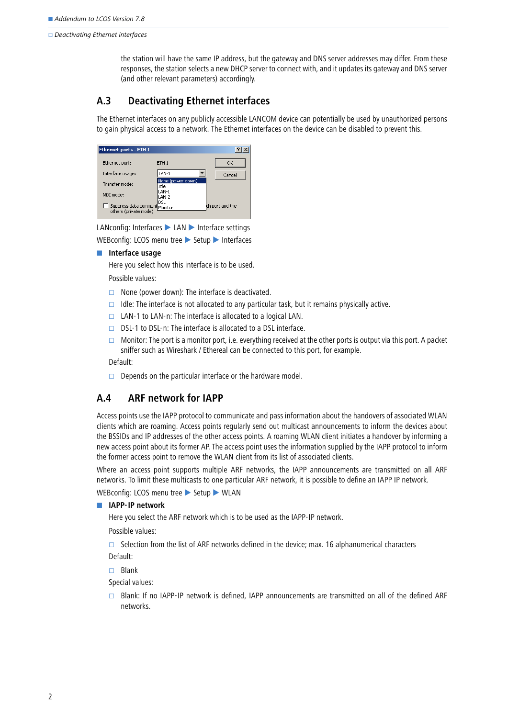#### $\Box$  Deactivating Ethernet interfaces

the station will have the same IP address, but the gateway and DNS server addresses may differ. From these responses, the station selects a new DHCP server to connect with, and it updates its gateway and DNS server (and other relevant parameters) accordingly.

# <span id="page-1-0"></span>**A.3 Deactivating Ethernet interfaces**

The Ethernet interfaces on any publicly accessible LANCOM device can potentially be used by unauthorized persons to gain physical access to a network. The Ethernet interfaces on the device can be disabled to prevent this.

| <b>Ethernet ports - ETH 1</b>                          |                           |                 |
|--------------------------------------------------------|---------------------------|-----------------|
| Ethernet port:                                         | ETH <sub>1</sub>          | OK              |
| Interface usage:                                       | LAN-1                     | Cancel          |
| Transfer mode:                                         | None (power down)<br>Idle |                 |
| MDI mode:                                              | LAN-1<br>LAN-2            |                 |
| Suppress data communi Monitor<br>others (private mode) | DSL                       | ch port and the |

LANconfig: Interfaces  $\blacktriangleright$  LAN  $\blacktriangleright$  Interface settings

```
WEBconfig: LCOS menu tree > Setup > Interfaces
```
 $\blacksquare$  Interface usage

Here you select how this interface is to be used.

Possible values:

- $\Box$  None (power down): The interface is deactivated.
- $\Box$  Idle: The interface is not allocated to any particular task, but it remains physically active.
- $\Box$  LAN-1 to LAN-n: The interface is allocated to a logical LAN.
- $\Box$  DSL-1 to DSL-n: The interface is allocated to a DSL interface.
- Monitor: The port is a monitor port, i.e. everything received at the other ports is output via this port. A packet sniffer such as Wireshark / Ethereal can be connected to this port, for example.

Default:

 $\Box$  Depends on the particular interface or the hardware model.

# <span id="page-1-1"></span>**A.4 ARF network for IAPP**

Access points use the IAPP protocol to communicate and pass information about the handovers of associated WLAN clients which are roaming. Access points regularly send out multicast announcements to inform the devices about the BSSIDs and IP addresses of the other access points. A roaming WLAN client initiates a handover by informing a new access point about its former AP. The access point uses the information supplied by the IAPP protocol to inform the former access point to remove the WLAN client from its list of associated clients.

Where an access point supports multiple ARF networks, the IAPP announcements are transmitted on all ARF networks. To limit these multicasts to one particular ARF network, it is possible to define an IAPP IP network.

#### WEBconfig: LCOS menu tree > Setup > WLAN

#### - **IAPP-IP network**

Here you select the ARF network which is to be used as the IAPP-IP network.

Possible values:

 $\Box$  Selection from the list of ARF networks defined in the device; max. 16 alphanumerical characters Default:

 $\Box$  Blank

Special values:

 $\Box$  Blank: If no IAPP-IP network is defined, IAPP announcements are transmitted on all of the defined ARF networks.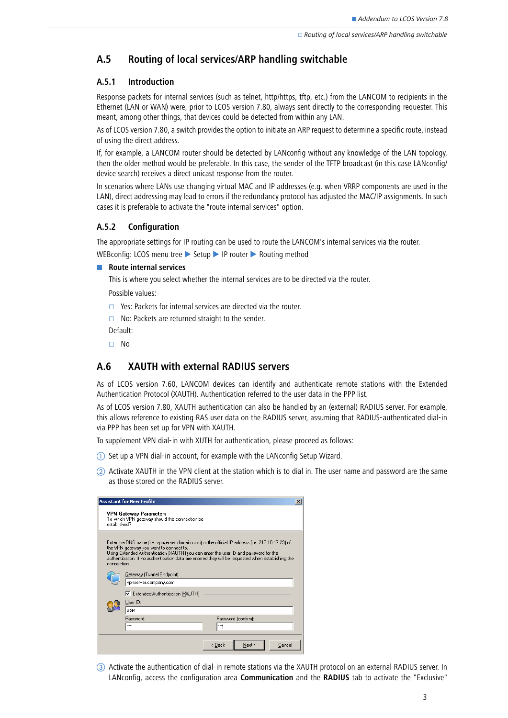# <span id="page-2-0"></span>**A.5 Routing of local services/ARP handling switchable**

### **A.5.1 Introduction**

Response packets for internal services (such as telnet, http/https, tftp, etc.) from the LANCOM to recipients in the Ethernet (LAN or WAN) were, prior to LCOS version 7.80, always sent directly to the corresponding requester. This meant, among other things, that devices could be detected from within any LAN.

As of LCOS version 7.80, a switch provides the option to initiate an ARP request to determine a specific route, instead of using the direct address.

If, for example, a LANCOM router should be detected by LANconfig without any knowledge of the LAN topology, then the older method would be preferable. In this case, the sender of the TFTP broadcast (in this case LANconfig/ device search) receives a direct unicast response from the router.

In scenarios where LANs use changing virtual MAC and IP addresses (e.g. when VRRP components are used in the LAN), direct addressing may lead to errors if the redundancy protocol has adjusted the MAC/IP assignments. In such cases it is preferable to activate the "route internal services" option.

### **A.5.2 Configuration**

The appropriate settings for IP routing can be used to route the LANCOM's internal services via the router.

WEBconfig: LCOS menu tree Setup IP router Routing method

**E** Route internal services

This is where you select whether the internal services are to be directed via the router.

Possible values:

- $\Box$  Yes: Packets for internal services are directed via the router.
- $\Box$  No: Packets are returned straight to the sender.
- Default:
- No

# <span id="page-2-1"></span>**A.6 XAUTH with external RADIUS servers**

As of LCOS version 7.60, LANCOM devices can identify and authenticate remote stations with the Extended Authentication Protocol (XAUTH). Authentication referred to the user data in the PPP list.

As of LCOS version 7.80, XAUTH authentication can also be handled by an (external) RADIUS server. For example, this allows reference to existing RAS user data on the RADIUS server, assuming that RADIUS-authenticated dial-in via PPP has been set up for VPN with XAUTH.

To supplement VPN dial-in with XUTH for authentication, please proceed as follows:

- Set up a VPN dial-in account, for example with the LANconfig Setup Wizard.
- $(2)$  Activate XAUTH in the VPN client at the station which is to dial in. The user name and password are the same as those stored on the RADIUS server.

|              | <b>Assistant for New Profile</b>                                                                                                                                                                                                                                                                                                          | $\times$ |
|--------------|-------------------------------------------------------------------------------------------------------------------------------------------------------------------------------------------------------------------------------------------------------------------------------------------------------------------------------------------|----------|
| established? | <b>VPN Gateway Parameters</b><br>To which VPN gateway should the connection be                                                                                                                                                                                                                                                            |          |
| connection.  | Enter the DNS name (i.e. vpnserver.domain.com) or the official IP address (i.e. 212.10.17.29) of<br>the VPN gateway you want to connect to.<br>Using Extended Authentication [XAUTH] you can enter the user ID and password for the<br>authentication. If no authentication data are entered they will be requested when establishing the |          |
|              | Gateway (Tunnel Endpoint):<br>vpnserver.company.com                                                                                                                                                                                                                                                                                       |          |
|              | ■ Extended Authentication (XAUTH)                                                                                                                                                                                                                                                                                                         |          |
|              | User ID:<br>user                                                                                                                                                                                                                                                                                                                          |          |
|              | Password:<br>Password (confirm):<br><b>xxx</b><br>xxx                                                                                                                                                                                                                                                                                     |          |
|              | Next ><br>< Back<br>Cancel                                                                                                                                                                                                                                                                                                                |          |

 Activate the authentication of dial-in remote stations via the XAUTH protocol on an external RADIUS server. In LANconfig, access the configuration area **Communication** and the **RADIUS** tab to activate the "Exclusive"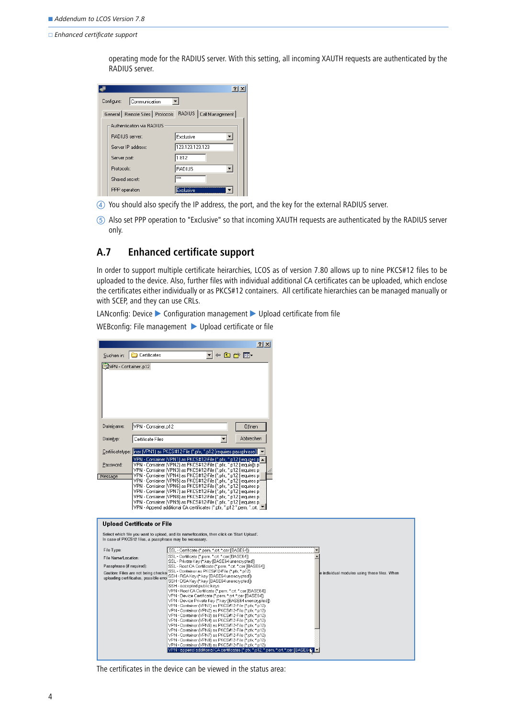□ Enhanced certificate support

operating mode for the RADIUS server. With this setting, all incoming XAUTH requests are authenticated by the RADIUS server.

|                                             | ? x                                   |
|---------------------------------------------|---------------------------------------|
| Configure:<br>Communication                 |                                       |
| General   Remote Sites   Protocols   RADIUS | Call Management                       |
| Authentication via RADIUS                   |                                       |
| RADIUS server:                              | Exclusive                             |
| Server IP address:                          | 123.123.123.123                       |
| Server port:                                | 1.812                                 |
| Protocols:                                  | <b>RADIUS</b><br>$\blacktriangledown$ |
| Shared secret:                              | xxx                                   |
| PPP operation:                              | Exclusive                             |

- You should also specify the IP address, the port, and the key for the external RADIUS server.
- Also set PPP operation to "Exclusive" so that incoming XAUTH requests are authenticated by the RADIUS server only.

# <span id="page-3-0"></span>**A.7 Enhanced certificate support**

In order to support multiple certificate heirarchies, LCOS as of version 7.80 allows up to nine PKCS#12 files to be uploaded to the device. Also, further files with individual additional CA certificates can be uploaded, which enclose the certificates either individually or as PKCS#12 containers. All certificate hierarchies can be managed manually or with SCEP, and they can use CRLs.

LANconfig: Device  $\triangleright$  Configuration management  $\triangleright$  Upload certificate from file

WEBconfig: File management > Upload certificate or file

|                           |                                       |                                                                                                                                                         | ? X       |                      |                                              |
|---------------------------|---------------------------------------|---------------------------------------------------------------------------------------------------------------------------------------------------------|-----------|----------------------|----------------------------------------------|
|                           | Suchen in: Certificates               |                                                                                                                                                         |           |                      |                                              |
| WPN - Container.p12       |                                       |                                                                                                                                                         |           |                      |                                              |
|                           |                                       |                                                                                                                                                         |           |                      |                                              |
|                           |                                       |                                                                                                                                                         |           |                      |                                              |
|                           |                                       |                                                                                                                                                         |           |                      |                                              |
|                           |                                       |                                                                                                                                                         |           |                      |                                              |
|                           |                                       |                                                                                                                                                         |           |                      |                                              |
| Dateiname:                | VPN - Container.p12                   |                                                                                                                                                         | Öffnen    |                      |                                              |
| Dateityp:                 | Certificate Files                     |                                                                                                                                                         | Abbrechen |                      |                                              |
|                           |                                       |                                                                                                                                                         |           |                      |                                              |
|                           |                                       | Certificatetype: iner (VPN1) as PKCS#12-File (*.pfx, *.p12 [requires passphrase])<br>VPN - Container [VPN1] as PKCS#12-File [".pfx, ".p12 [requires p ▲ |           |                      |                                              |
| Password:                 |                                       | VPN - Container (VPN2) as PKCS#12-File (*.pfx, *.p12 [requin@ p]                                                                                        |           |                      |                                              |
| Message                   |                                       | VPN - Container [VPN3] as PKCS#12-File [*.pfx, *.p12 [requires p]<br>VPN - Container (VPN4) as PKCS#12-File (*.pfx, *.p12 [requires p]                  |           |                      |                                              |
|                           |                                       | VPN - Container (VPN5) as PKCS#12-File (*.pfx, *.p12 [requires pf<br>VPN - Container (VPN6) as PKCS#12-File (".pfx, ".p12 [requires p]                  |           |                      |                                              |
|                           |                                       | VPN - Container (VPN7) as PKCS#12-File (".pfx, ".p12 [requires p]<br>VPN - Container (VPN8) as PKCS#12-File (*.pfx, *.p12 [requires p]                  |           |                      |                                              |
|                           |                                       |                                                                                                                                                         |           |                      |                                              |
|                           |                                       | VPN - Container (VPN9) as PKCS#12-File (".pfx, ".p12 [requires p]                                                                                       |           |                      |                                              |
|                           |                                       | VPN - Append additional CA certificates (*.pfx, *.p12 *.pem, *.crt.  ▼                                                                                  |           |                      |                                              |
|                           |                                       |                                                                                                                                                         |           |                      |                                              |
|                           | <b>Upload Certificate or File</b>     |                                                                                                                                                         |           |                      |                                              |
|                           |                                       | Select which file you want to upload, and its name/location, then click on 'Start Upload'.<br>In case of PKCS12 files, a passphrase may be necessary.   |           |                      |                                              |
| File Type:                |                                       |                                                                                                                                                         |           | $\blacktriangledown$ |                                              |
| File Name/Location:       |                                       | SSL - Certificate (*.pem, *.crt. *.cer [BASE64])<br>SSL - Certificate (*.pem, *.crt. *.cer [BASE64])                                                    |           |                      |                                              |
| Passphrase (if required): |                                       | SSL - Private Key (* key [BASE64 unencrypted])<br>SSL - Root CA Certificate (".pem, ".crt. ".cer [BASE64])                                              |           |                      |                                              |
|                           | Caution: Files are not being checke   | SSL - Container as PKCS#12-File (*.pfx, *.p12)                                                                                                          |           |                      | e individual modules using these files. When |
|                           | uploading certificates, possible erro | SSH - RSA Key (*.key [BASE64 unencrypted])<br>SSH - DSA Key (*.key [BASE64 unencrypted])                                                                |           |                      |                                              |
|                           |                                       | SSH - accepted public keys                                                                                                                              |           |                      |                                              |
|                           |                                       | VPN - Root CA Certificate (*.pem, *.crt. *.cer [BASE64])                                                                                                |           |                      |                                              |
|                           |                                       | VPN - Device Certificate (*.pem, *.crt. *.cer [BASE64])<br>VPN - Device Private Key (*.key [BASE64 unencrypted])                                        |           |                      |                                              |
|                           |                                       | VPN - Container (VPN1) as PKCS#12-File (*.pfx, *.p12)                                                                                                   |           |                      |                                              |
|                           |                                       | VPN - Container (VPN2) as PKCS#12-File (*.pfx, *.p12)                                                                                                   |           |                      |                                              |
|                           |                                       | VPN - Container (VPN3) as PKCS#12-File (*.pfx, *.p12)<br>VPN - Container (VPN4) as PKCS#12-File (*.pfx, *.p12)                                          |           |                      |                                              |
|                           |                                       | VPN - Container (VPN5) as PKCS#12-File (*.pfx, *.p12)                                                                                                   |           |                      |                                              |
|                           |                                       | VPN - Container (VPN6) as PKCS#12-File (*.pfx, *.p12)                                                                                                   |           |                      |                                              |
|                           |                                       | VPN - Container (VPN7) as PKCS#12-File (*.pfx, *.p12)<br>VPN - Container (VPN8) as PKCS#12-File (*.pfx, *.p12)                                          |           |                      |                                              |
|                           |                                       | VPN - Container (VPN9) as PKCS#12-File (*.pfx, *.p12)<br>VPN - append additional CA certificates (*.pfx, *.p12, *.pem, *.crt. *.cer [BASE64])           |           |                      |                                              |

The certificates in the device can be viewed in the status area: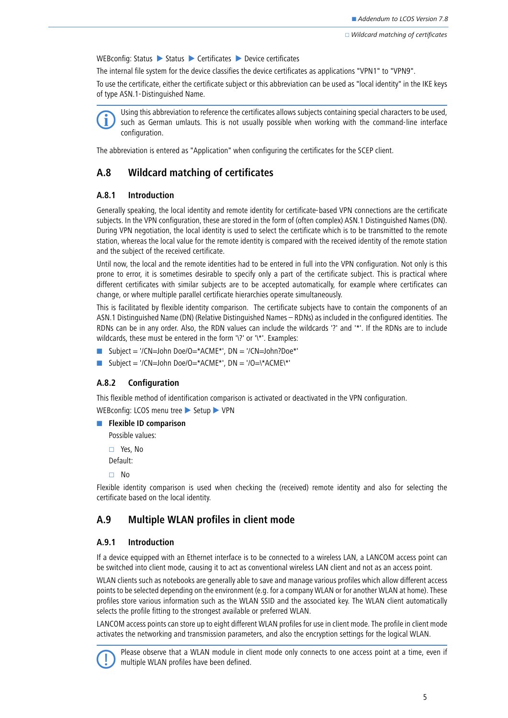WEBconfig: Status  $\triangleright$  Status  $\triangleright$  Certificates  $\triangleright$  Device certificates

The internal file system for the device classifies the device certificates as applications "VPN1" to "VPN9".

To use the certificate, either the certificate subject or this abbreviation can be used as "local identity" in the IKE keys of type ASN.1-Distinguished Name.



Using this abbreviation to reference the certificates allows subjects containing special characters to be used,<br>such as German umlauts. This is not usually possible when working with the command-line interface configuration.

The abbreviation is entered as "Application" when configuring the certificates for the SCEP client.

# <span id="page-4-0"></span>**A.8 Wildcard matching of certificates**

### **A.8.1 Introduction**

Generally speaking, the local identity and remote identity for certificate-based VPN connections are the certificate subjects. In the VPN configuration, these are stored in the form of (often complex) ASN.1 Distinguished Names (DN). During VPN negotiation, the local identity is used to select the certificate which is to be transmitted to the remote station, whereas the local value for the remote identity is compared with the received identity of the remote station and the subject of the received certificate.

Until now, the local and the remote identities had to be entered in full into the VPN configuration. Not only is this prone to error, it is sometimes desirable to specify only a part of the certificate subject. This is practical where different certificates with similar subjects are to be accepted automatically, for example where certificates can change, or where multiple parallel certificate hierarchies operate simultaneously.

This is facilitated by flexible identity comparison. The certificate subjects have to contain the components of an ASN.1 Distinguished Name (DN) (Relative Distinguished Names – RDNs) as included in the configured identities. The RDNs can be in any order. Also, the RDN values can include the wildcards '?' and '\*'. If the RDNs are to include wildcards, these must be entered in the form '\?' or '\\*'. Examples:

- Subject = '/CN=John Doe/O=\*ACME\*', DN = '/CN=John?Doe\*'
- Subject = '/CN=John Doe/O=\*ACME\*', DN = '/O=\\*ACME\\*'

### **A.8.2 Configuration**

This flexible method of identification comparison is activated or deactivated in the VPN configuration.

WEBconfig: LCOS menu tree > Setup > VPN

```
Example ID comparison
```
Possible values:

 Yes, No Default:

 $\Box$ No

Flexible identity comparison is used when checking the (received) remote identity and also for selecting the certificate based on the local identity.

# <span id="page-4-1"></span>**A.9 Multiple WLAN profiles in client mode**

### **A.9.1 Introduction**

If a device equipped with an Ethernet interface is to be connected to a wireless LAN, a LANCOM access point can be switched into client mode, causing it to act as conventional wireless LAN client and not as an access point.

WLAN clients such as notebooks are generally able to save and manage various profiles which allow different access points to be selected depending on the environment (e.g. for a company WLAN or for another WLAN at home). These profiles store various information such as the WLAN SSID and the associated key. The WLAN client automatically selects the profile fitting to the strongest available or preferred WLAN.

LANCOM access points can store up to eight different WLAN profiles for use in client mode. The profile in client mode activates the networking and transmission parameters, and also the encryption settings for the logical WLAN.



Please observe that a WLAN module in client mode only connects to one access point at a time, even if multiple WLAN profiles have been defined.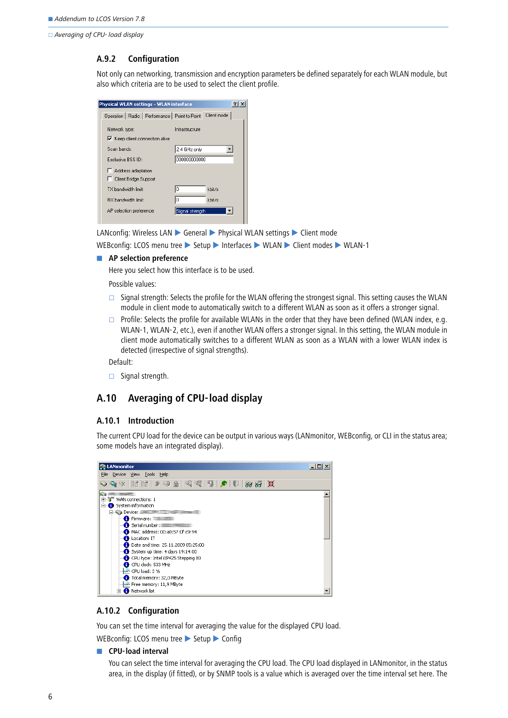□ Averaging of CPU- load display

#### **A.9.2 Configuration**

Not only can networking, transmission and encryption parameters be defined separately for each WLAN module, but also which criteria are to be used to select the client profile.

| hysical WLAN settings - WLAN interface           |                 |             |
|--------------------------------------------------|-----------------|-------------|
| Operation   Radio   Performance   Point-to-Point |                 | Client mode |
| Network type:                                    | Infrastructure  |             |
| $\triangledown$ Keep client connection alive     |                 |             |
| Scan bands:                                      | 2.4 GHz only    |             |
| Exclusive BSS ID:                                | 000000000000    |             |
| Address adaptation                               |                 |             |
| □ Client Bridge Support                          |                 |             |
| TX handwidth limit:                              | O               | kbit/s      |
| <b>RX</b> bandwidth limit:                       | Ю               | kbit/s      |
| AP selection preference:                         | Signal strength |             |
|                                                  |                 |             |

LANconfig: Wireless LAN ► General ► Physical WLAN settings ► Client mode

WEBconfig: LCOS menu tree > Setup > Interfaces > WLAN > Client modes > WLAN-1

#### **AP selection preference**

Here you select how this interface is to be used.

Possible values:

- $\square$  Signal strength: Selects the profile for the WLAN offering the strongest signal. This setting causes the WLAN module in client mode to automatically switch to a different WLAN as soon as it offers a stronger signal.
- $\Box$  Profile: Selects the profile for available WLANs in the order that they have been defined (WLAN index, e.g. WLAN-1, WLAN-2, etc.), even if another WLAN offers a stronger signal. In this setting, the WLAN module in client mode automatically switches to a different WLAN as soon as a WLAN with a lower WLAN index is detected (irrespective of signal strengths).

Default:

 $\Box$  Signal strength.

# <span id="page-5-0"></span>**A.10 Averaging of CPU-load display**

#### **A.10.1 Introduction**

The current CPU load for the device can be output in various ways (LANmonitor, WEBconfig, or CLI in the status area; some models have an integrated display).



### **A.10.2 Configuration**

You can set the time interval for averaging the value for the displayed CPU load.

WEBconfig: LCOS menu tree Setup Config

#### **EXPU-load interval**

You can select the time interval for averaging the CPU load. The CPU load displayed in LANmonitor, in the status area, in the display (if fitted), or by SNMP tools is a value which is averaged over the time interval set here. The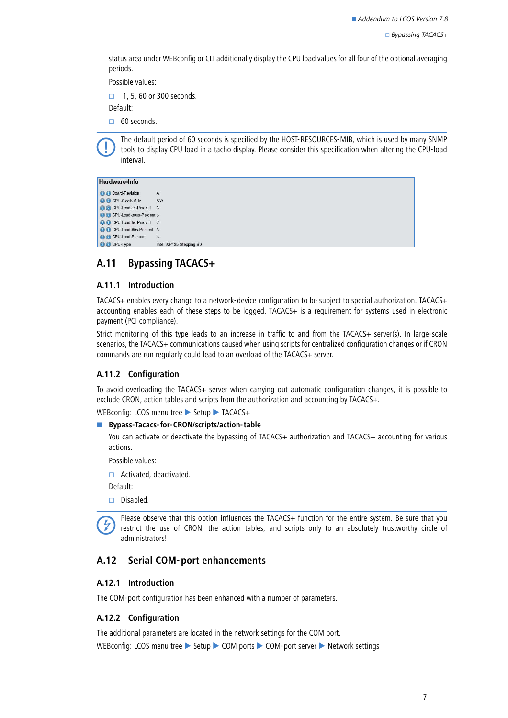$\Box$  Bypassing TACACS+

status area under WEBconfig or CLI additionally display the CPU load values for all four of the optional averaging periods.

Possible values:

 $\Box$  1, 5, 60 or 300 seconds.

Default:

 $\Box$  60 seconds.

 The default period of 60 seconds is specified by the HOST-RESOURCES-MIB, which is used by many SNMP tools to display CPU load in a tacho display. Please consider this specification when altering the CPU-load interval.

#### Hardware-Info

```
B Board-Revision
                           \overline{A}O CPU-Clock-MHz
                           533
C CPU-Load-1s-Percent 3
2 G CPU-Load-300s-Percent 3
<sup>2</sup> CPU-Load-5s-Percent 7
<sup>9</sup> CPU-Load-60s-Percent 3
O CPU-Load-Percent
O CPU-Type
                           Intel iXP425 Stepping BO
```
## <span id="page-6-0"></span>**A.11 Bypassing TACACS+**

### **A.11.1 Introduction**

TACACS+ enables every change to a network-device configuration to be subject to special authorization. TACACS+ accounting enables each of these steps to be logged. TACACS+ is a requirement for systems used in electronic payment (PCI compliance).

Strict monitoring of this type leads to an increase in traffic to and from the TACACS+ server(s). In large-scale scenarios, the TACACS+ communications caused when using scripts for centralized configuration changes or if CRON commands are run regularly could lead to an overload of the TACACS+ server.

#### **A.11.2 Configuration**

To avoid overloading the TACACS+ server when carrying out automatic configuration changes, it is possible to exclude CRON, action tables and scripts from the authorization and accounting by TACACS+.

WEBconfig: LCOS menu tree Setup TACACS+

#### ■ Bypass-Tacacs-for-CRON/scripts/action-table

You can activate or deactivate the bypassing of TACACS+ authorization and TACACS+ accounting for various actions.

Possible values:

□ Activated, deactivated.

Default:

Disabled.

Please observe that this option influences the TACACS+ function for the entire system. Be sure that you restrict the use of CRON, the action tables, and scripts only to an absolutely trustworthy circle of administrators!

# <span id="page-6-1"></span>**A.12 Serial COM-port enhancements**

### **A.12.1 Introduction**

The COM-port configuration has been enhanced with a number of parameters.

### **A.12.2 Configuration**

The additional parameters are located in the network settings for the COM port.

WEBconfig: LCOS menu tree > Setup > COM ports > COM-port server > Network settings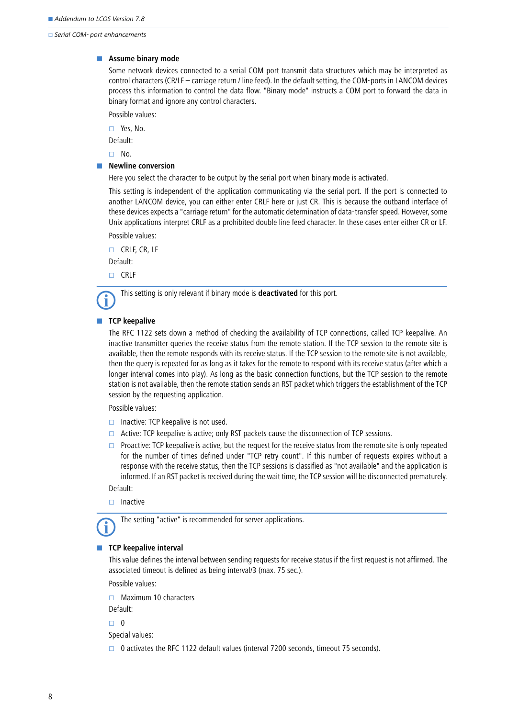$\Box$  Serial COM- port enhancements

#### **E** Assume binary mode

Some network devices connected to a serial COM port transmit data structures which may be interpreted as control characters (CR/LF – carriage return / line feed). In the default setting, the COM-ports in LANCOM devices process this information to control the data flow. "Binary mode" instructs a COM port to forward the data in binary format and ignore any control characters.

Possible values:

Yes, No.

Default:

 $\Box$  No.

#### **Newline conversion**

Here you select the character to be output by the serial port when binary mode is activated.

This setting is independent of the application communicating via the serial port. If the port is connected to another LANCOM device, you can either enter CRLF here or just CR. This is because the outband interface of these devices expects a "carriage return" for the automatic determination of data-transfer speed. However, some Unix applications interpret CRLF as a prohibited double line feed character. In these cases enter either CR or LF. Possible values:

 $\Box$  CRLF, CR, LF

Default:

□ CRLF



### **TCP keepalive**

The RFC 1122 sets down a method of checking the availability of TCP connections, called TCP keepalive. An inactive transmitter queries the receive status from the remote station. If the TCP session to the remote site is available, then the remote responds with its receive status. If the TCP session to the remote site is not available, then the query is repeated for as long as it takes for the remote to respond with its receive status (after which a longer interval comes into play). As long as the basic connection functions, but the TCP session to the remote station is not available, then the remote station sends an RST packet which triggers the establishment of the TCP session by the requesting application.

Possible values:

- $\Box$  Inactive: TCP keepalive is not used.
- $\Box$  Active: TCP keepalive is active; only RST packets cause the disconnection of TCP sessions.
- $\Box$  Proactive: TCP keepalive is active, but the request for the receive status from the remote site is only repeated for the number of times defined under "TCP retry count". If this number of requests expires without a response with the receive status, then the TCP sessions is classified as "not available" and the application is informed. If an RST packet is received during the wait time, the TCP session will be disconnected prematurely.

Default:

 $\Box$  Inactive

The setting "active" is recommended for server applications.

### **TCP** keepalive interval

This value defines the interval between sending requests for receive status if the first request is not affirmed. The associated timeout is defined as being interval/3 (max. 75 sec.).

Possible values:

 $\Box$  Maximum 10 characters

Default:

 $\Box$  0

Special values:

 $\Box$  0 activates the RFC 1122 default values (interval 7200 seconds, timeout 75 seconds).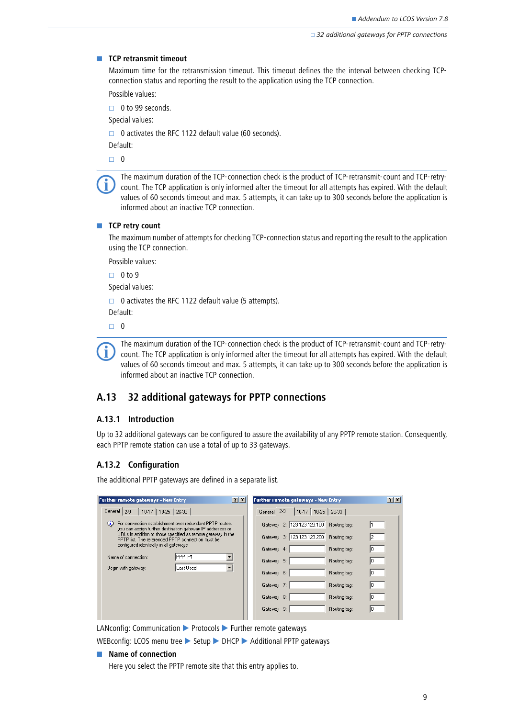#### **EXECP retransmit timeout**

Maximum time for the retransmission timeout. This timeout defines the the interval between checking TCPconnection status and reporting the result to the application using the TCP connection.

Possible values:

 $\Box$  0 to 99 seconds.

Special values:

 $\Box$  0 activates the RFC 1122 default value (60 seconds).

Default:

 $\Box$  0

The maximum duration of the TCP-connection check is the product of TCP-retransmit-count and TCP-retry-<br>count. The TCP application is only informed after the timeout for all attempts has expired. With the default<br>counter of values of 60 seconds timeout and max. 5 attempts, it can take up to 300 seconds before the application is informed about an inactive TCP connection.

#### **TCP retry count**

The maximum number of attempts for checking TCP-connection status and reporting the result to the application using the TCP connection.

Possible values:

 $\Box$  0 to 9 Special values:

 $\Box$  0 activates the RFC 1122 default value (5 attempts). Default:

 $\Box$  0



The maximum duration of the TCP-connection check is the product of TCP-retransmit-count and TCP-retry-<br>count. The TCP application is only informed after the timeout for all attempts has expired. With the default<br>counter of values of 60 seconds timeout and max. 5 attempts, it can take up to 300 seconds before the application is informed about an inactive TCP connection.

# <span id="page-8-0"></span>**A.13 32 additional gateways for PPTP connections**

#### **A.13.1 Introduction**

Up to 32 additional gateways can be configured to assure the availability of any PPTP remote station. Consequently, each PPTP remote station can use a total of up to 33 gateways.

#### **A.13.2 Configuration**

The additional PPTP gateways are defined in a separate list.

| Further remote gateways - New Entry                                                                                         | $ ?  \times  $ |                  | Further remote gateways - New Entry |              | ? x |  |
|-----------------------------------------------------------------------------------------------------------------------------|----------------|------------------|-------------------------------------|--------------|-----|--|
| General 2-9<br>26-33<br>$10-17$<br>$18-25$                                                                                  |                | $2-9$<br>General | 18-25<br>$10-17$                    | $26-33$      |     |  |
| For connection establishment over redundant PPTP routes,<br>Φ<br>you can assign further destination gateway IP addresses or |                |                  | Gateway 2: 123.123.123.100          | Routing tag: |     |  |
| URLs in addition to those specified as remote gateway in the<br>PPTP list. The referenced PPTP connection must be           |                |                  | Gateway 3: 123.123.123.200          | Routing tag: |     |  |
| configured identically in all gateways.                                                                                     |                | Gateway 4:       |                                     | Routing tag: |     |  |
| PPPTP1<br>Name of connection:                                                                                               |                | Gateway 5:       |                                     | Routing tag: |     |  |
| Last Used<br>Begin with gateway:                                                                                            |                | Gateway 6:       |                                     | Routing tag: |     |  |
|                                                                                                                             |                | Gateway 7:       |                                     | Routing tag: |     |  |
|                                                                                                                             |                | Gateway 8:       |                                     | Routing tag: | In. |  |
|                                                                                                                             |                | Gateway 9:       |                                     | Routing tag: | ш   |  |
|                                                                                                                             |                |                  |                                     |              |     |  |

LANconfig: Communication > Protocols > Further remote gateways

WEBconfig: LCOS menu tree Setup DHCP Additional PPTP gateways

#### **Name of connection**

Here you select the PPTP remote site that this entry applies to.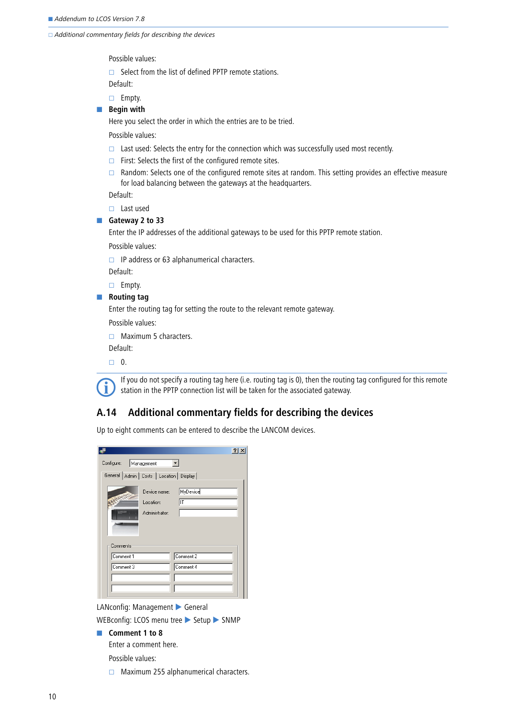$\Box$  Additional commentary fields for describing the devices

Possible values:

 $\Box$  Select from the list of defined PPTP remote stations.

Default:

 $\Box$  Empty.

**E** Begin with

Here you select the order in which the entries are to be tried.

Possible values:

- $\Box$  Last used: Selects the entry for the connection which was successfully used most recently.
- $\Box$  First: Selects the first of the configured remote sites.
- $\Box$  Random: Selects one of the configured remote sites at random. This setting provides an effective measure for load balancing between the gateways at the headquarters.

Default:

□ Last used

■ Gateway 2 to 33

Enter the IP addresses of the additional gateways to be used for this PPTP remote station.

Possible values:

 $\Box$  IP address or 63 alphanumerical characters.

Default:

 $\Box$  Empty.

 $\blacksquare$  Routing tag

Enter the routing tag for setting the route to the relevant remote gateway.

Possible values:

 $\Box$  Maximum 5 characters.

Default:

 $\Box$  0.



 If you do not specify a routing tag here (i.e. routing tag is 0), then the routing tag configured for this remote station in the PPTP connection list will be taken for the associated gateway.

# <span id="page-9-0"></span>**A.14 Additional commentary fields for describing the devices**

Up to eight comments can be entered to describe the LANCOM devices.

|                          |                                              | ? |
|--------------------------|----------------------------------------------|---|
| Configure:<br>Management |                                              |   |
|                          | General   Admin   Costs   Location   Display |   |
|                          | MyDevice<br>Device name:                     |   |
|                          | IТ<br>Location:                              |   |
|                          | Administrator:                               |   |
|                          |                                              |   |
| Comments                 |                                              |   |
| Comment 1                | Comment 2                                    |   |
| Comment 3                | Comment 4                                    |   |
|                          |                                              |   |
|                          |                                              |   |
|                          |                                              |   |

LANconfig: Management General

WEBconfig: LCOS menu tree Setup SNMP

**Comment 1 to 8** 

Enter a comment here.

Possible values:

 $\Box$  Maximum 255 alphanumerical characters.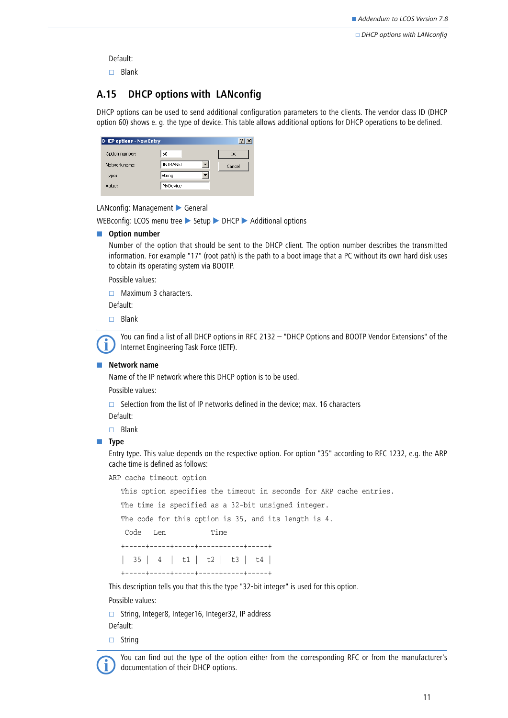$\Box$  DHCP options with LANconfig

Default:

 $\Box$  Blank

# <span id="page-10-0"></span>**A.15 DHCP options with LANconfig**

DHCP options can be used to send additional configuration parameters to the clients. The vendor class ID (DHCP option 60) shows e. g. the type of device. This table allows additional options for DHCP operations to be defined.

| <b>DHCP options - New Entry</b> |          | $\overline{2}$ |
|---------------------------------|----------|----------------|
| Option number:                  | 60       | OK             |
| Network name:                   | INTRANET | Cancel         |
| Type:                           | String   |                |
| Value:                          | MyDevice |                |
|                                 |          |                |

LANconfig: Management General

WEBconfig: LCOS menu tree Setup > DHCP > Additional options

### $\blacksquare$  Option number

Number of the option that should be sent to the DHCP client. The option number describes the transmitted information. For example "17" (root path) is the path to a boot image that a PC without its own hard disk uses to obtain its operating system via BOOTP.

Possible values:

 $\Box$  Maximum 3 characters.

Default:

 $\Box$  Blank

 You can find a list of all DHCP options in RFC 2132 – "DHCP Options and BOOTP Vendor Extensions" of the Internet Engineering Task Force (IETF).

#### -**Network name**

Name of the IP network where this DHCP option is to be used.

Possible values:

 $\square$  Selection from the list of IP networks defined in the device; max. 16 characters

Default:

 $\square$  Blank

#### ■ Type

Entry type. This value depends on the respective option. For option "35" according to RFC 1232, e.g. the ARP cache time is defined as follows:

ARP cache timeout option

This option specifies the timeout in seconds for ARP cache entries.

The time is specified as a 32-bit unsigned integer.

The code for this option is 35, and its length is 4.

Code Len Time

```
 +-----+-----+-----+-----+-----+-----+
```
| 35 | 4 | t1 | t2 | t3 | t4 |

+-----+-----+-----+-----+-----+-----+

This description tells you that this the type "32-bit integer" is used for this option.

Possible values:

String, Integer8, Integer16, Integer32, IP address

Default:

 $\Box$  String



 You can find out the type of the option either from the corresponding RFC or from the manufacturer's documentation of their DHCP options.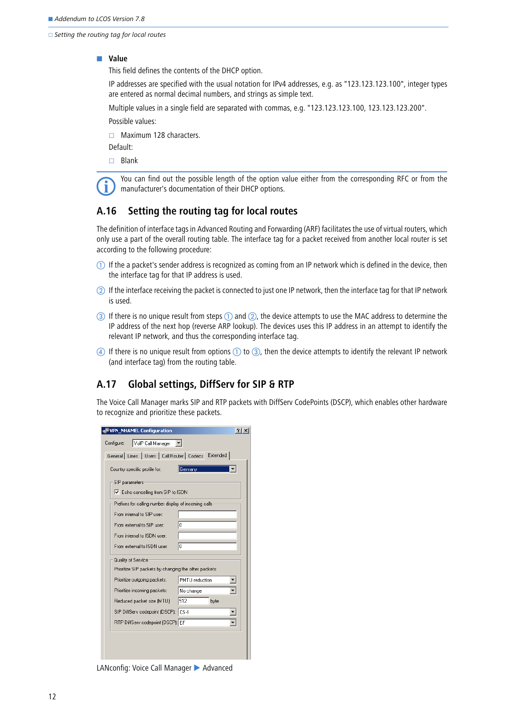$\Box$  Setting the routing tag for local routes

#### - **Value**

This field defines the contents of the DHCP option.

IP addresses are specified with the usual notation for IPv4 addresses, e.g. as "123.123.123.100", integer types are entered as normal decimal numbers, and strings as simple text.

Multiple values in a single field are separated with commas, e.g. "123.123.123.100, 123.123.123.200".

Possible values:

 $\Box$  Maximum 128 characters.

Default:

 $\Box$  Blank

 You can find out the possible length of the option value either from the corresponding RFC or from the manufacturer's documentation of their DHCP options.

# <span id="page-11-0"></span>**A.16 Setting the routing tag for local routes**

The definition of interface tags in Advanced Routing and Forwarding (ARF) facilitates the use of virtual routers, which only use a part of the overall routing table. The interface tag for a packet received from another local router is set according to the following procedure:

- $\mathbb D$  If the a packet's sender address is recognized as coming from an IP network which is defined in the device, then the interface tag for that IP address is used.
- If the interface receiving the packet is connected to just one IP network, then the interface tag for that IP network is used.
- $\circledcirc$  If there is no unique result from steps  $\circledcirc$  and  $\circledcirc$ , the device attempts to use the MAC address to determine the IP address of the next hop (reverse ARP lookup). The devices uses this IP address in an attempt to identify the relevant IP network, and thus the corresponding interface tag.
- $\circledA$  If there is no unique result from options  $\circled1$  to  $\circled3$ , then the device attempts to identify the relevant IP network (and interface tag) from the routing table.

# <span id="page-11-1"></span>**A.17 Global settings, DiffServ for SIP & RTP**

The Voice Call Manager marks SIP and RTP packets with DiffServ CodePoints (DSCP), which enables other hardware to recognize and prioritize these packets.

| <b>VPN_NHAMEL Configuration</b>                           |                |
|-----------------------------------------------------------|----------------|
| VoIP Call Manager<br>Configure:                           |                |
| General   Lines   Users   Call Router   Codecs   Extended |                |
|                                                           |                |
| Country specific profile for:                             | Germany        |
| SIP parameters                                            |                |
| ○ Echo cancelling from SIP to ISDN                        |                |
| Prefixes for calling number display of incoming calls:    |                |
| From internal to SIP user:                                |                |
| From external to SIP user:                                | I٥             |
| From internal to ISDN user:                               |                |
| From external to ISDN user:                               | 10             |
| Quality of Service                                        |                |
| Prioritize SIP packets by changing the other packets:     |                |
| Prioritize outgoing packets:                              | PMTU reduction |
| Prioritize incoming packets:                              | No change      |
| Reduced packet size (MTU):                                | 512<br>byte    |
| SIP DiffServ codepoint (DSCP): CS-1                       |                |
| RTP DiffServ codepoint (DSCP): EF                         |                |
|                                                           |                |
|                                                           |                |
|                                                           |                |
|                                                           |                |

LANconfig: Voice Call Manager > Advanced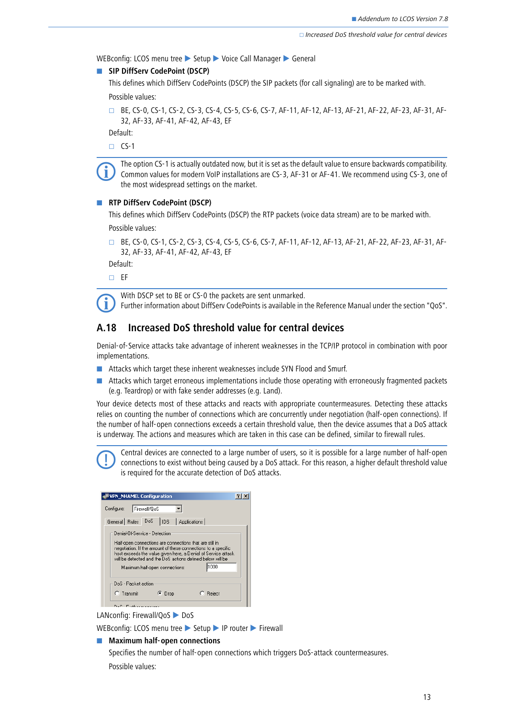WEBconfig: LCOS menu tree Setup Voice Call Manager Seeneral

### **B** SIP DiffServ CodePoint (DSCP)

This defines which DiffServ CodePoints (DSCP) the SIP packets (for call signaling) are to be marked with.

Possible values:

 BE, CS-0, CS-1, CS-2, CS-3, CS-4, CS-5, CS-6, CS-7, AF-11, AF-12, AF-13, AF-21, AF-22, AF-23, AF-31, AF-32, AF-33, AF-41, AF-42, AF-43, EF

Default:

 $\Box$  CS-1



 The option CS-1 is actually outdated now, but it is set as the default value to ensure backwards compatibility. Common values for modern VoIP installations are CS-3, AF-31 or AF-41. We recommend using CS-3, one of the most widespread settings on the market.

### **RTP DiffServ CodePoint (DSCP)**

This defines which DiffServ CodePoints (DSCP) the RTP packets (voice data stream) are to be marked with. Possible values:

 BE, CS-0, CS-1, CS-2, CS-3, CS-4, CS-5, CS-6, CS-7, AF-11, AF-12, AF-13, AF-21, AF-22, AF-23, AF-31, AF-32, AF-33, AF-41, AF-42, AF-43, EF

Default:

 $\square$  EF



With DSCP set to BE or CS-0 the packets are sent unmarked.<br>
Further information about DiffServ CodePoints is available in the Reference Manual under the section "QoS".

# <span id="page-12-0"></span>**A.18 Increased DoS threshold value for central devices**

Denial-of-Service attacks take advantage of inherent weaknesses in the TCP/IP protocol in combination with poor implementations.

- **E** Attacks which target these inherent weaknesses include SYN Flood and Smurf.
- **Attacks which target erroneous implementations include those operating with erroneously fragmented packets** (e.g. Teardrop) or with fake sender addresses (e.g. Land).

Your device detects most of these attacks and reacts with appropriate countermeasures. Detecting these attacks relies on counting the number of connections which are concurrently under negotiation (half-open connections). If the number of half-open connections exceeds a certain threshold value, then the device assumes that a DoS attack is underway. The actions and measures which are taken in this case can be defined, similar to firewall rules.

 Central devices are connected to a large number of users, so it is possible for a large number of half-open connections to exist without being caused by a DoS attack. For this reason, a higher default threshold value is required for the accurate detection of DoS attacks.

| <b>VPN_NHAMEL Configuration</b>                                                                                                                                                                                                                                                                                                      |
|--------------------------------------------------------------------------------------------------------------------------------------------------------------------------------------------------------------------------------------------------------------------------------------------------------------------------------------|
| Firewall/QoS<br>Configure:                                                                                                                                                                                                                                                                                                           |
| General Rules DoS<br>  IDS   Applications                                                                                                                                                                                                                                                                                            |
| Denial-Of-Service - Detection<br>Half-open connections are connections that are still in<br>negotiation. If the amount of these connections to a specific<br>host exceeds the value given here, a Denial of Service attack<br>will be detected and the DoS actions defined below will be<br>lh 000<br>Maximum half-open connections: |
| DoS - Packet action                                                                                                                                                                                                                                                                                                                  |
| $C$ Transmit<br>Reject<br><sup>(•</sup> Drop                                                                                                                                                                                                                                                                                         |
|                                                                                                                                                                                                                                                                                                                                      |

LANconfig: Firewall/QoS DoS

WEBconfig: LCOS menu tree > Setup > IP router > Firewall

#### **■** Maximum half-open connections

Specifies the number of half-open connections which triggers DoS-attack countermeasures. Possible values: